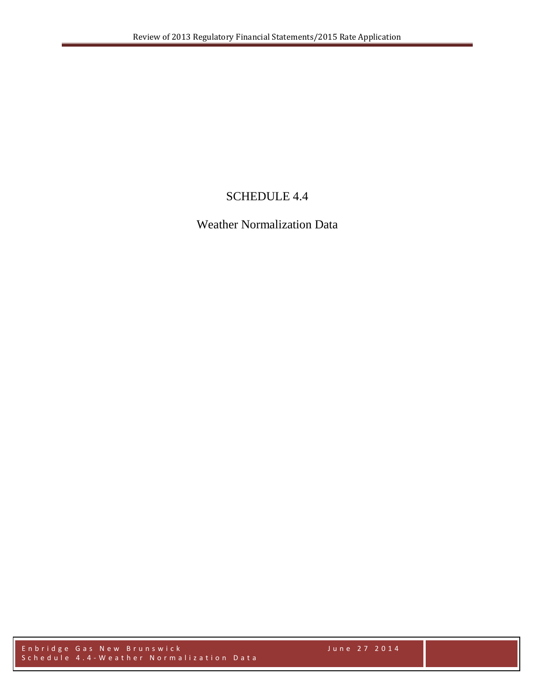# SCHEDULE 4.4

Weather Normalization Data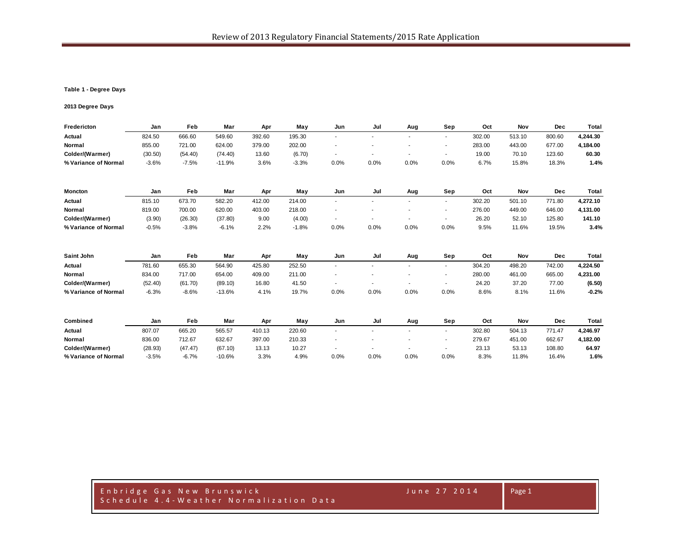## **Table 1 - Degree Days**

## **2013 Degree Days**

| Fredericton          | Jan     | Feb     | Mar      | Apr    | May     | Jun            | Jul  | Aug            | Sep                      | Oct    | Nov    | Dec        | Total    |
|----------------------|---------|---------|----------|--------|---------|----------------|------|----------------|--------------------------|--------|--------|------------|----------|
| Actual               | 824.50  | 666.60  | 549.60   | 392.60 | 195.30  | $\blacksquare$ |      | $\blacksquare$ | ۰.                       | 302.00 | 513.10 | 800.60     | 4,244.30 |
| Normal               | 855.00  | 721.00  | 624.00   | 379.00 | 202.00  |                |      |                | ٠                        | 283.00 | 443.00 | 677.00     | 4,184.00 |
| Colder/(Warmer)      | (30.50) | (54.40) | (74.40)  | 13.60  | (6.70)  | $\blacksquare$ |      | $\blacksquare$ | $\sim$                   | 19.00  | 70.10  | 123.60     | 60.30    |
| % Variance of Normal | $-3.6%$ | $-7.5%$ | $-11.9%$ | 3.6%   | $-3.3%$ | 0.0%           | 0.0% | 0.0%           | 0.0%                     | 6.7%   | 15.8%  | 18.3%      | 1.4%     |
| Moncton              | Jan     | Feb     | Mar      | Apr    | May     | Jun            | Jul  | Aug            | Sep                      | Oct    | Nov    | Dec        | Total    |
| Actual               | 815.10  | 673.70  | 582.20   | 412.00 | 214.00  | ٠              |      |                | $\sim$                   | 302.20 | 501.10 | 771.80     | 4,272.10 |
| Normal               | 819.00  | 700.00  | 620.00   | 403.00 | 218.00  |                |      |                | $\overline{\phantom{a}}$ | 276.00 | 449.00 | 646.00     | 4,131.00 |
| Colder/(Warmer)      | (3.90)  | (26.30) | (37.80)  | 9.00   | (4.00)  | ٠              |      | $\blacksquare$ | $\overline{\phantom{a}}$ | 26.20  | 52.10  | 125.80     | 141.10   |
| % Variance of Normal | $-0.5%$ | $-3.8%$ | $-6.1%$  | 2.2%   | $-1.8%$ | 0.0%           | 0.0% | 0.0%           | 0.0%                     | 9.5%   | 11.6%  | 19.5%      | 3.4%     |
| Saint John           | Jan     | Feb     | Mar      | Apr    | May     | Jun            | Jul  | Aug            | Sep                      | Oct    | Nov    | <b>Dec</b> | Total    |
| Actual               | 781.60  | 655.30  | 564.90   | 425.80 | 252.50  | $\blacksquare$ |      |                | ÷.                       | 304.20 | 498.20 | 742.00     | 4,224.50 |
| Normal               | 834.00  | 717.00  | 654.00   | 409.00 | 211.00  |                |      |                | $\blacksquare$           | 280.00 | 461.00 | 665.00     | 4,231.00 |
| Colder/(Warmer)      | (52.40) | (61.70) | (89.10)  | 16.80  | 41.50   |                |      | ۰              | ٠                        | 24.20  | 37.20  | 77.00      | (6.50)   |
| % Variance of Normal | $-6.3%$ | $-8.6%$ | $-13.6%$ | 4.1%   | 19.7%   | 0.0%           | 0.0% | 0.0%           | 0.0%                     | 8.6%   | 8.1%   | 11.6%      | $-0.2%$  |
| Combined             | Jan     | Feb     | Mar      | Apr    | May     | Jun            | Jul  | Aug            | Sep                      | Oct    | Nov    | <b>Dec</b> | Total    |
| Actual               | 807.07  | 665.20  | 565.57   | 410.13 | 220.60  |                |      |                | ۰.                       | 302.80 | 504.13 | 771.47     | 4,246.97 |
| Normal               | 836.00  | 712.67  | 632.67   | 397.00 | 210.33  |                |      |                | $\blacksquare$           | 279.67 | 451.00 | 662.67     | 4,182.00 |
| Colder/(Warmer)      | (28.93) | (47.47) | (67.10)  | 13.13  | 10.27   |                |      |                | $\overline{\phantom{a}}$ | 23.13  | 53.13  | 108.80     | 64.97    |
| % Variance of Normal | $-3.5%$ | $-6.7%$ | $-10.6%$ | 3.3%   | 4.9%    | 0.0%           | 0.0% | 0.0%           | 0.0%                     | 8.3%   | 11.8%  | 16.4%      | 1.6%     |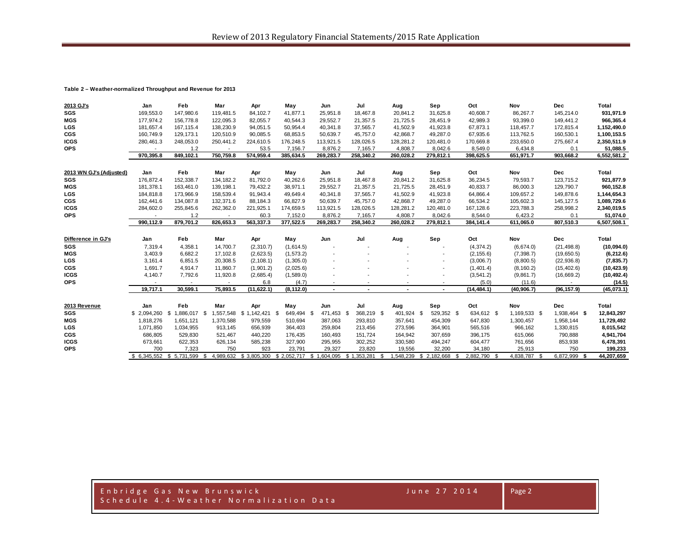### **Table 2 – Weather-normalized Throughput and Revenue for 2013**

| 2013 GJ's               | Jan            | Feb                       | Mar                      | Apr             | May         | Jun            | Jul                     | Aug                      | Sep                      | Oct                 | Nov          | Dec          | Total       |
|-------------------------|----------------|---------------------------|--------------------------|-----------------|-------------|----------------|-------------------------|--------------------------|--------------------------|---------------------|--------------|--------------|-------------|
| <b>SGS</b>              | 169.553.0      | 147.980.6                 | 119.481.5                | 84.102.7        | 41.877.1    | 25,951.8       | 18.467.8                | 20,841.2                 | 31,625.8                 | 40,608.7            | 86.267.7     | 145.214.0    | 931,971.9   |
| <b>MGS</b>              | 177,974.2      | 156,778.8                 | 122,095.3                | 82,055.7        | 40,544.3    | 29,552.7       | 21,357.5                | 21,725.5                 | 28,451.9                 | 42,989.3            | 93,399.0     | 149,441.2    | 966,365.4   |
| <b>LGS</b>              | 181,657.4      | 167.115.4                 | 138,230.9                | 94,051.5        | 50,954.4    | 40,341.8       | 37,565.7                | 41,502.9                 | 41,923.8                 | 67,873.1            | 118,457.7    | 172,815.4    | 1,152,490.0 |
| <b>CGS</b>              | 160,749.9      | 129, 173.1                | 120,510.9                | 90,085.5        | 68,853.5    | 50,639.7       | 45,757.0                | 42,868.7                 | 49,287.0                 | 67,935.6            | 113,762.5    | 160,530.1    | 1,100,153.5 |
| <b>ICGS</b>             | 280,461.3      | 248,053.0                 | 250,441.2                | 224,610.5       | 176,248.5   | 113,921.5      | 128,026.5               | 128,281.2                | 120,481.0                | 170,669.8           | 233,650.0    | 275,667.4    | 2,350,511.9 |
| <b>OPS</b>              |                | 1.2                       |                          | 53.5            | 7,156.7     | 8,876.2        | 7,165.7                 | 4,808.7                  | 8,042.6                  | 8,549.0             | 6,434.8      | 0.1          | 51,088.5    |
|                         | 970,395.8      | 849,102.1                 | 750,759.8                | 574,959.4       | 385,634.5   | 269,283.7      | 258,340.2               | 260,028.2                | 279,812.1                | 398,625.5           | 651,971.7    | 903,668.2    | 6,552,581.2 |
|                         |                |                           |                          |                 |             |                |                         |                          |                          |                     |              |              |             |
| 2013 WN GJ's (Adjusted) | Jan            | Feb                       | Mar                      | Apr             | May         | Jun            | Jul                     | Aug                      | Sep                      | Oct                 | Nov          | Dec          | Total       |
| <b>SGS</b>              | 176.872.4      | 152,338.7                 | 134, 182.2               | 81.792.0        | 40,262.6    | 25,951.8       | 18.467.8                | 20,841.2                 | 31,625.8                 | 36,234.5            | 79,593.7     | 123,715.2    | 921,877.9   |
| <b>MGS</b>              | 181,378.1      | 163,461.0                 | 139, 198.1               | 79,432.2        | 38,971.1    | 29,552.7       | 21,357.5                | 21,725.5                 | 28,451.9                 | 40,833.7            | 86,000.3     | 129,790.7    | 960,152.8   |
| LGS                     | 184,818.8      | 173.966.9                 | 158,539.4                | 91.943.4        | 49,649.4    | 40,341.8       | 37.565.7                | 41,502.9                 | 41,923.8                 | 64,866.4            | 109,657.2    | 149,878.6    | 1,144,654.3 |
| <b>CGS</b>              | 162,441.6      | 134,087.8                 | 132,371.6                | 88,184.3        | 66,827.9    | 50,639.7       | 45,757.0                | 42,868.7                 | 49,287.0                 | 66,534.2            | 105,602.3    | 145, 127.5   | 1,089,729.6 |
| <b>ICGS</b>             | 284,602.0      | 255,845.6                 | 262,362.0                | 221,925.1       | 174,659.5   | 113,921.5      | 128,026.5               | 128,281.2                | 120,481.0                | 167,128.6           | 223,788.3    | 258,998.2    | 2,340,019.5 |
| <b>OPS</b>              |                | 1.2                       |                          | 60.3            | 7,152.0     | 8,876.2        | 7,165.7                 | 4,808.7                  | 8,042.6                  | 8,544.0             | 6,423.2      | 0.1          | 51,074.0    |
|                         | 990,112.9      | 879,701.2                 | 826,653.3                | 563,337.3       | 377,522.5   | 269,283.7      | 258,340.2               | 260,028.2                | 279,812.1                | 384,141.4           | 611,065.0    | 807,510.3    | 6,507,508.1 |
|                         |                |                           |                          |                 |             |                |                         |                          |                          |                     |              |              |             |
| Difference in GJ's      | Jan            | Feb                       | Mar                      | Apr             | May         | Jun            | Jul                     | Aug                      | Sep                      | Oct                 | Nov          | Dec          | Total       |
| SGS                     | 7,319.4        | 4,358.1                   | 14,700.7                 | (2,310.7)       | (1,614.5)   |                |                         |                          |                          | (4, 374.2)          | (6,674.0)    | (21, 498.8)  | (10,094.0)  |
| <b>MGS</b>              | 3,403.9        | 6,682.2                   | 17.102.8                 | (2,623.5)       | (1, 573.2)  |                |                         |                          |                          | (2, 155.6)          | (7, 398.7)   | (19,650.5)   | (6, 212.6)  |
| LGS                     | 3,161.4        | 6,851.5                   | 20,308.5                 | (2, 108.1)      | (1,305.0)   |                |                         |                          |                          | (3,006.7)           | (8,800.5)    | (22, 936.8)  | (7, 835.7)  |
| <b>CGS</b>              | 1,691.7        | 4,914.7                   | 11,860.7                 | (1,901.2)       | (2,025.6)   |                |                         |                          | $\overline{\phantom{a}}$ | (1,401.4)           | (8, 160.2)   | (15, 402.6)  | (10, 423.9) |
| <b>ICGS</b>             | 4,140.7        | 7,792.6                   | 11,920.8                 | (2,685.4)       | (1,589.0)   |                |                         |                          | $\overline{\phantom{a}}$ | (3, 541.2)          | (9,861.7)    | (16, 669.2)  | (10, 492.4) |
| <b>OPS</b>              | $\blacksquare$ | $\overline{\phantom{a}}$  | $\overline{\phantom{a}}$ | 6.8             | (4.7)       |                |                         | $\overline{\phantom{a}}$ | $\overline{\phantom{a}}$ | (5.0)               | (11.6)       | $\sim$       | (14.5)      |
|                         | 19,717.1       | 30,599.1                  | 75,893.5                 | (11, 622.1)     | (8, 112.0)  | $\overline{a}$ | $\sim$                  | $\blacksquare$           | $\blacksquare$           | (14, 484.1)         | (40, 906.7)  | (96, 157.9)  | (45,073.1)  |
|                         |                |                           |                          |                 |             |                |                         |                          |                          |                     |              |              |             |
| 2013 Revenue            | Jan            | Feb                       | Mar                      | Apr             | May         | Jun            | Jul                     | Aug                      | Sep                      | Oct                 | Nov          | Dec          | Total       |
| SGS                     | \$2.094.260    | 1,886,017<br>\$           | 1,557,548<br>- \$        | $$1,142,421$ \$ | 649,494 \$  | 471,453 \$     | 368,219 \$              | 401,924 \$               | 529,352 \$               | 634,612 \$          | 1,169,533 \$ | 1,938,464 \$ | 12,843,297  |
| <b>MGS</b>              | 1,818,276      | 1,651,121                 | 1,370,588                | 979,559         | 510,694     | 387,063        | 293,810                 | 357,641                  | 454,309                  | 647,830             | 1,300,457    | 1,958,144    | 11,729,492  |
| LGS                     | 1,071,850      | 1,034,955                 | 913,145                  | 656,939         | 364,403     | 259,804        | 213,456                 | 273,596                  | 364,901                  | 565,516             | 966,162      | 1,330,815    | 8,015,542   |
| <b>CGS</b>              | 686,805        | 529,830                   | 521,467                  | 440,220         | 176,435     | 160,493        | 151,724                 | 164,942                  | 307,659                  | 396,175             | 615,066      | 790,888      | 4,941,704   |
| <b>ICGS</b>             | 673,661        | 622,353                   | 626,134                  | 585,238         | 327,900     | 295,955        | 302,252                 | 330,580                  | 494,247                  | 604,477             | 761,656      | 853,938      | 6,478,391   |
| <b>OPS</b>              | 700            | 7,323                     | 750                      | 923             | 23,791      | 29,327         | 23,820                  | 19,556                   | 32,200                   | 34,180              | 25,913       | 750          | 199,233     |
|                         |                | \$ 6.345.552 \$ 5.731.599 | 4.989.632<br>\$.         | \$3.805.300     | \$2.052.717 |                | \$1.604.095 \$1.353.281 | .548.239<br>\$.          | \$ 2.182,668             | 2.882.790 \$<br>-\$ | 4.838.787 \$ | 6.872.999    | 44.207.659  |